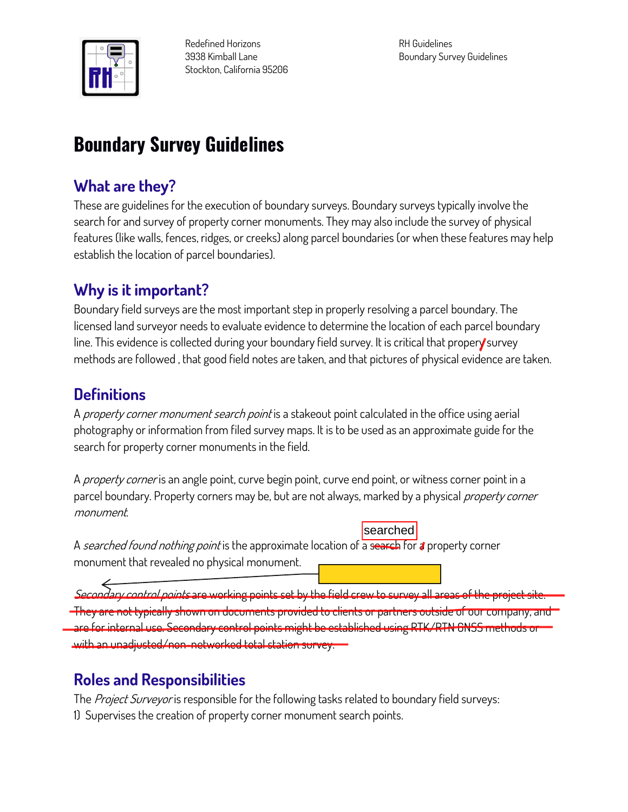

**Redefined Horizons 3938 Kimball Lane Stockton, California 95206** **RH Guidelines Boundary Survey Guidelines**

# **Boundary Survey Guidelines**

#### **What are they?**

**These are guidelines for the execution of boundary surveys. Boundary surveys typically involve the search for and survey of property corner monuments. They may also include the survey of physical features (like walls, fences, ridges, or creeks) along parcel boundaries (or when these features may help establish the location of parcel boundaries).**

### **Why is it important?**

**Boundary field surveys are the most important step in properly resolving a parcel boundary. The licensed land surveyor needs to evaluate evidence to determine the location of each parcel boundary line. This evidence is collected during your boundary field survey. It is critical that propery survey methods are followed , that good field notes are taken, and that pictures of physical evidence are taken.**

## **Definitions**

**A property corner monument search point is a stakeout point calculated in the office using aerial photography or information from filed survey maps. It is to be used as an approximate guide for the search for property corner monuments in the field.**

**A property corner is an angle point, curve begin point, curve end point, or witness corner point in a parcel boundary. Property corners may be, but are not always, marked by a physical property corner monument.**

**A searched found nothing point is the approximate location of a search for a property corner monument that revealed no physical monument.** searched

**Secondary control points are working points set by the field crew to survey all areas of the project site. They are not typically shown on documents provided to clients or partners outside of our company, and are for internal use. Secondary control points might be established using RTK/RTN GNSS methods or with an unadjusted/non-networked total station survey.**

## **Roles and Responsibilities**

**The Project Surveyor is responsible for the following tasks related to boundary field surveys: 1) Supervises the creation of property corner monument search points.**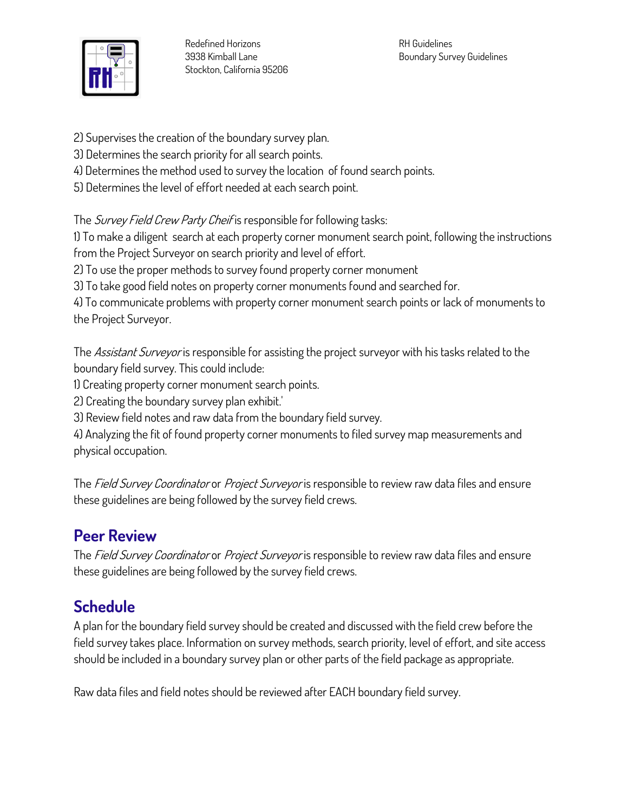

- **2) Supervises the creation of the boundary survey plan.**
- **3) Determines the search priority for all search points.**
- **4) Determines the method used to survey the location of found search points.**
- **5) Determines the level of effort needed at each search point.**

**The Survey Field Crew Party Cheif is responsible for following tasks:**

**1) To make a diligent search at each property corner monument search point, following the instructions from the Project Surveyor on search priority and level of effort.**

**2) To use the proper methods to survey found property corner monument**

**3) To take good field notes on property corner monuments found and searched for.**

**4) To communicate problems with property corner monument search points or lack of monuments to the Project Surveyor.**

**The Assistant Surveyor is responsible for assisting the project surveyor with his tasks related to the boundary field survey. This could include:**

**1) Creating property corner monument search points.**

**2) Creating the boundary survey plan exhibit.'**

**3) Review field notes and raw data from the boundary field survey.**

**4) Analyzing the fit of found property corner monuments to filed survey map measurements and physical occupation.**

**The Field Survey Coordinator or Project Surveyor is responsible to review raw data files and ensure these guidelines are being followed by the survey field crews.**

## **Peer Review**

**The Field Survey Coordinator or Project Surveyor is responsible to review raw data files and ensure these guidelines are being followed by the survey field crews.**

## **Schedule**

**A plan for the boundary field survey should be created and discussed with the field crew before the field survey takes place. Information on survey methods, search priority, level of effort, and site access should be included in a boundary survey plan or other parts of the field package as appropriate.**

**Raw data files and field notes should be reviewed after EACH boundary field survey.**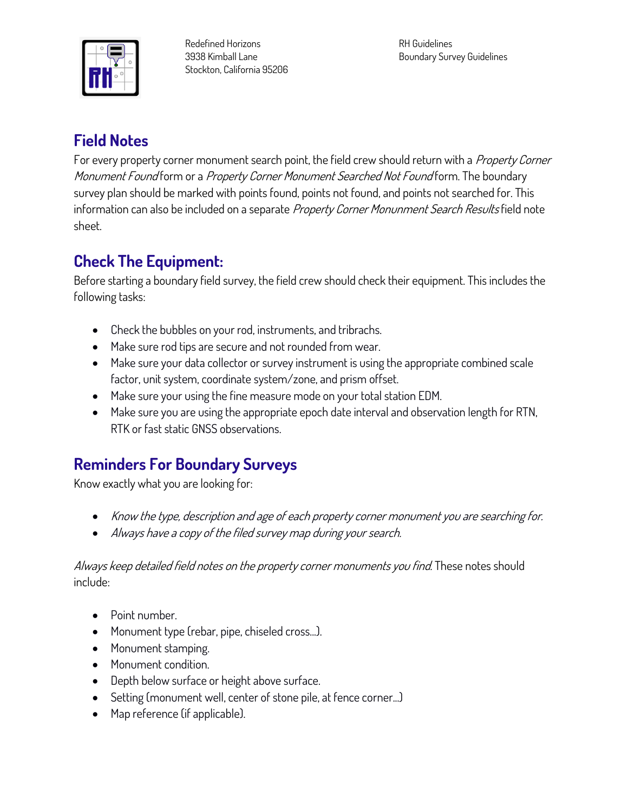

**Redefined Horizons 3938 Kimball Lane Stockton, California 95206** **RH Guidelines Boundary Survey Guidelines**

### **Field Notes**

**For every property corner monument search point, the field crew should return with a Property Corner Monument Found form or a Property Corner Monument Searched Not Found form. The boundary survey plan should be marked with points found, points not found, and points not searched for. This information can also be included on a separate Property Corner Monunment Search Results field note sheet.**

## **Check The Equipment:**

**Before starting a boundary field survey, the field crew should check their equipment. This includes the following tasks:**

- **Check the bubbles on your rod, instruments, and tribrachs.**
- **Make sure rod tips are secure and not rounded from wear.**
- **Make sure your data collector or survey instrument is using the appropriate combined scale factor, unit system, coordinate system/zone, and prism offset.**
- **Make sure your using the fine measure mode on your total station EDM.**
- **Make sure you are using the appropriate epoch date interval and observation length for RTN, RTK or fast static GNSS observations.**

## **Reminders For Boundary Surveys**

**Know exactly what you are looking for:**

- **Know the type, description and age of each property corner monument you are searching for.**
- **Always have a copy of the filed survey map during your search.**

#### **Always keep detailed field notes on the property corner monuments you find. These notes should include:**

- **Point number.**
- **Monument type (rebar, pipe, chiseled cross...).**
- **Monument stamping.**
- **Monument condition.**
- **Depth below surface or height above surface.**
- **Setting (monument well, center of stone pile, at fence corner...)**
- **Map reference (if applicable).**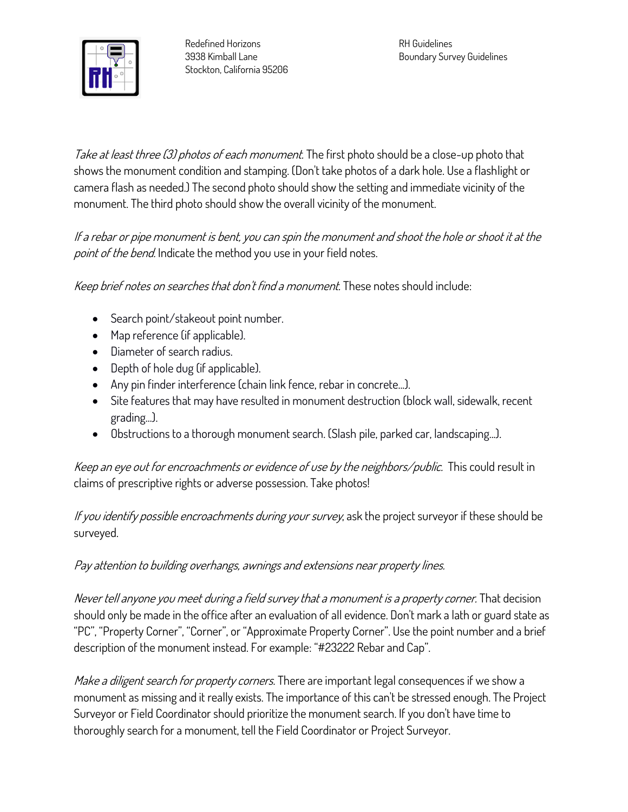

**Take at least three (3) photos of each monument. The first photo should be a close-up photo that shows the monument condition and stamping. (Don't take photos of a dark hole. Use a flashlight or camera flash as needed.) The second photo should show the setting and immediate vicinity of the monument. The third photo should show the overall vicinity of the monument.**

**If a rebar or pipe monument is bent, you can spin the monument and shoot the hole or shoot it at the point of the bend. Indicate the method you use in your field notes.**

**Keep brief notes on searches that don't find a monument. These notes should include:**

- **Search point/stakeout point number.**
- **Map reference (if applicable).**
- **Diameter of search radius.**
- **Depth of hole dug (if applicable).**
- **Any pin finder interference (chain link fence, rebar in concrete...).**
- **Site features that may have resulted in monument destruction (block wall, sidewalk, recent grading...).**
- **Obstructions to a thorough monument search. (Slash pile, parked car, landscaping...).**

**Keep an eye out for encroachments or evidence of use by the neighbors/public. This could result in claims of prescriptive rights or adverse possession. Take photos!**

**If you identify possible encroachments during your survey, ask the project surveyor if these should be surveyed.**

#### **Pay attention to building overhangs, awnings and extensions near property lines.**

**Never tell anyone you meet during a field survey that a monument is a property corner. That decision should only be made in the office after an evaluation of all evidence. Don't mark a lath or guard state as "PC", "Property Corner", "Corner", or "Approximate Property Corner". Use the point number and a brief description of the monument instead. For example: "#23222 Rebar and Cap".**

**Make a diligent search for property corners. There are important legal consequences if we show a monument as missing and it really exists. The importance of this can't be stressed enough. The Project Surveyor or Field Coordinator should prioritize the monument search. If you don't have time to thoroughly search for a monument, tell the Field Coordinator or Project Surveyor.**